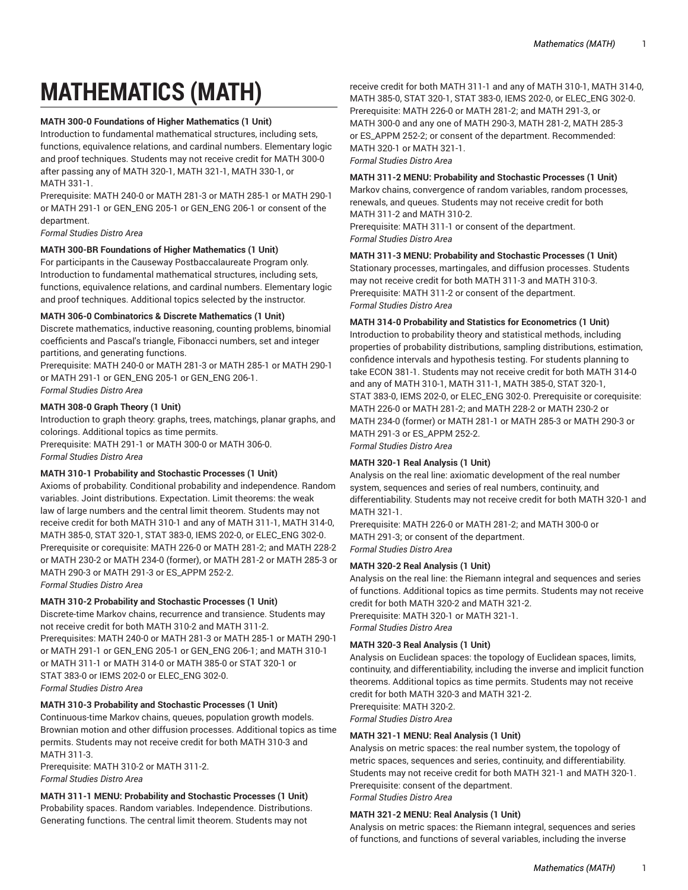# **MATHEMATICS (MATH)**

# **MATH 300-0 Foundations of Higher Mathematics (1 Unit)**

Introduction to fundamental mathematical structures, including sets, functions, equivalence relations, and cardinal numbers. Elementary logic and proof techniques. Students may not receive credit for MATH 300-0 after passing any of MATH 320-1, MATH 321-1, MATH 330-1, or MATH 331-1.

Prerequisite: MATH 240-0 or MATH 281-3 or MATH 285-1 or MATH 290-1 or MATH 291-1 or GEN\_ENG 205-1 or GEN\_ENG 206-1 or consent of the department.

*Formal Studies Distro Area*

# **MATH 300-BR Foundations of Higher Mathematics (1 Unit)**

For participants in the Causeway Postbaccalaureate Program only. Introduction to fundamental mathematical structures, including sets, functions, equivalence relations, and cardinal numbers. Elementary logic and proof techniques. Additional topics selected by the instructor.

## **MATH 306-0 Combinatorics & Discrete Mathematics (1 Unit)**

Discrete mathematics, inductive reasoning, counting problems, binomial coefficients and Pascal's triangle, Fibonacci numbers, set and integer partitions, and generating functions.

Prerequisite: MATH 240-0 or MATH 281-3 or MATH 285-1 or MATH 290-1 or MATH 291-1 or GEN\_ENG 205-1 or GEN\_ENG 206-1. *Formal Studies Distro Area*

## **MATH 308-0 Graph Theory (1 Unit)**

Introduction to graph theory: graphs, trees, matchings, planar graphs, and colorings. Additional topics as time permits.

Prerequisite: MATH 291-1 or MATH 300-0 or MATH 306-0. *Formal Studies Distro Area*

## **MATH 310-1 Probability and Stochastic Processes (1 Unit)**

Axioms of probability. Conditional probability and independence. Random variables. Joint distributions. Expectation. Limit theorems: the weak law of large numbers and the central limit theorem. Students may not receive credit for both MATH 310-1 and any of MATH 311-1, MATH 314-0, MATH 385-0, STAT 320-1, STAT 383-0, IEMS 202-0, or ELEC\_ENG 302-0. Prerequisite or corequisite: MATH 226-0 or MATH 281-2; and MATH 228-2 or MATH 230-2 or MATH 234-0 (former), or MATH 281-2 or MATH 285-3 or MATH 290-3 or MATH 291-3 or ES\_APPM 252-2. *Formal Studies Distro Area*

**MATH 310-2 Probability and Stochastic Processes (1 Unit)** 

Discrete-time Markov chains, recurrence and transience. Students may not receive credit for both MATH 310-2 and MATH 311-2. Prerequisites: MATH 240-0 or MATH 281-3 or MATH 285-1 or MATH 290-1 or MATH 291-1 or GEN\_ENG 205-1 or GEN\_ENG 206-1; and MATH 310-1 or MATH 311-1 or MATH 314-0 or MATH 385-0 or STAT 320-1 or STAT 383-0 or IEMS 202-0 or ELEC\_ENG 302-0. *Formal Studies Distro Area*

# **MATH 310-3 Probability and Stochastic Processes (1 Unit)**

Continuous-time Markov chains, queues, population growth models. Brownian motion and other diffusion processes. Additional topics as time permits. Students may not receive credit for both MATH 310-3 and MATH 311-3.

Prerequisite: MATH 310-2 or MATH 311-2. *Formal Studies Distro Area*

**MATH 311-1 MENU: Probability and Stochastic Processes (1 Unit)**  Probability spaces. Random variables. Independence. Distributions. Generating functions. The central limit theorem. Students may not

receive credit for both MATH 311-1 and any of MATH 310-1, MATH 314-0, MATH 385-0, STAT 320-1, STAT 383-0, IEMS 202-0, or ELEC\_ENG 302-0. Prerequisite: MATH 226-0 or MATH 281-2; and MATH 291-3, or MATH 300-0 and any one of MATH 290-3, MATH 281-2, MATH 285-3 or ES\_APPM 252-2; or consent of the department. Recommended: MATH 320-1 or MATH 321-1. *Formal Studies Distro Area*

## **MATH 311-2 MENU: Probability and Stochastic Processes (1 Unit)**

Markov chains, convergence of random variables, random processes, renewals, and queues. Students may not receive credit for both MATH 311-2 and MATH 310-2.

Prerequisite: MATH 311-1 or consent of the department. *Formal Studies Distro Area*

# **MATH 311-3 MENU: Probability and Stochastic Processes (1 Unit)**

Stationary processes, martingales, and diffusion processes. Students may not receive credit for both MATH 311-3 and MATH 310-3. Prerequisite: MATH 311-2 or consent of the department. *Formal Studies Distro Area*

# **MATH 314-0 Probability and Statistics for Econometrics (1 Unit)**

Introduction to probability theory and statistical methods, including properties of probability distributions, sampling distributions, estimation, confidence intervals and hypothesis testing. For students planning to take ECON 381-1. Students may not receive credit for both MATH 314-0 and any of MATH 310-1, MATH 311-1, MATH 385-0, STAT 320-1, STAT 383-0, IEMS 202-0, or ELEC\_ENG 302-0. Prerequisite or corequisite: MATH 226-0 or MATH 281-2; and MATH 228-2 or MATH 230-2 or MATH 234-0 (former) or MATH 281-1 or MATH 285-3 or MATH 290-3 or MATH 291-3 or ES\_APPM 252-2. *Formal Studies Distro Area*

**MATH 320-1 Real Analysis (1 Unit)** 

Analysis on the real line: axiomatic development of the real number system, sequences and series of real numbers, continuity, and differentiability. Students may not receive credit for both MATH 320-1 and MATH 321-1.

Prerequisite: MATH 226-0 or MATH 281-2; and MATH 300-0 or MATH 291-3; or consent of the department. *Formal Studies Distro Area*

**MATH 320-2 Real Analysis (1 Unit)** 

Analysis on the real line: the Riemann integral and sequences and series of functions. Additional topics as time permits. Students may not receive credit for both MATH 320-2 and MATH 321-2.

Prerequisite: MATH 320-1 or MATH 321-1. *Formal Studies Distro Area*

# **MATH 320-3 Real Analysis (1 Unit)**

Analysis on Euclidean spaces: the topology of Euclidean spaces, limits, continuity, and differentiability, including the inverse and implicit function theorems. Additional topics as time permits. Students may not receive credit for both MATH 320-3 and MATH 321-2.

Prerequisite: MATH 320-2. *Formal Studies Distro Area*

# **MATH 321-1 MENU: Real Analysis (1 Unit)**

Analysis on metric spaces: the real number system, the topology of metric spaces, sequences and series, continuity, and differentiability. Students may not receive credit for both MATH 321-1 and MATH 320-1. Prerequisite: consent of the department. *Formal Studies Distro Area*

# **MATH 321-2 MENU: Real Analysis (1 Unit)**

Analysis on metric spaces: the Riemann integral, sequences and series of functions, and functions of several variables, including the inverse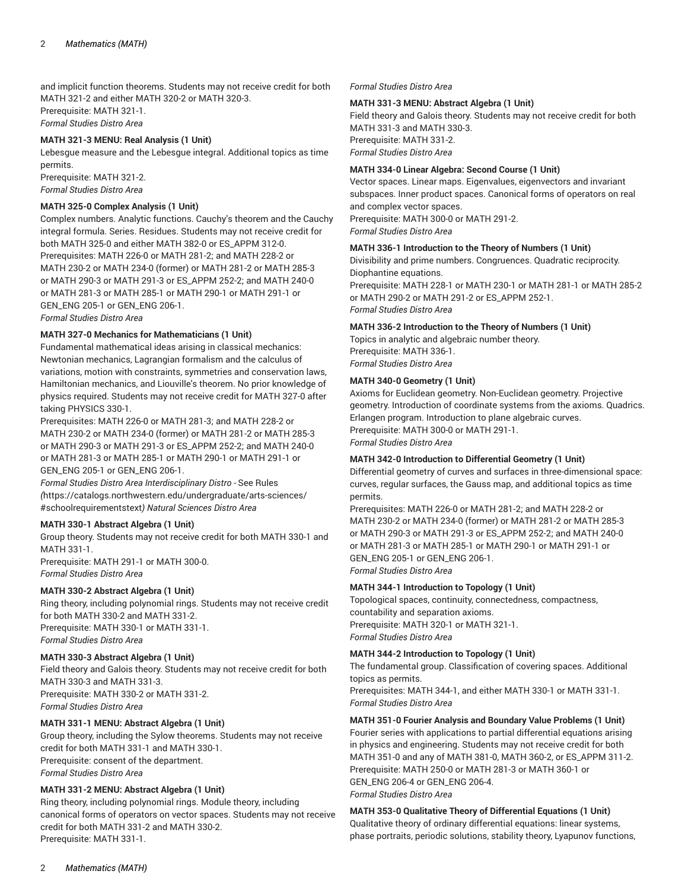and implicit function theorems. Students may not receive credit for both MATH 321-2 and either MATH 320-2 or MATH 320-3. Prerequisite: MATH 321-1. *Formal Studies Distro Area*

## **MATH 321-3 MENU: Real Analysis (1 Unit)**

Lebesgue measure and the Lebesgue integral. Additional topics as time permits.

Prerequisite: MATH 321-2. *Formal Studies Distro Area*

## **MATH 325-0 Complex Analysis (1 Unit)**

Complex numbers. Analytic functions. Cauchy's theorem and the Cauchy integral formula. Series. Residues. Students may not receive credit for both MATH 325-0 and either MATH 382-0 or ES\_APPM 312-0. Prerequisites: MATH 226-0 or MATH 281-2; and MATH 228-2 or MATH 230-2 or MATH 234-0 (former) or MATH 281-2 or MATH 285-3 or MATH 290-3 or MATH 291-3 or ES\_APPM 252-2; and MATH 240-0 or MATH 281-3 or MATH 285-1 or MATH 290-1 or MATH 291-1 or GEN\_ENG 205-1 or GEN\_ENG 206-1.

*Formal Studies Distro Area*

## **MATH 327-0 Mechanics for Mathematicians (1 Unit)**

Fundamental mathematical ideas arising in classical mechanics: Newtonian mechanics, Lagrangian formalism and the calculus of variations, motion with constraints, symmetries and conservation laws, Hamiltonian mechanics, and Liouville's theorem. No prior knowledge of physics required. Students may not receive credit for MATH 327-0 after taking PHYSICS 330-1.

Prerequisites: MATH 226-0 or MATH 281-3; and MATH 228-2 or MATH 230-2 or MATH 234-0 (former) or MATH 281-2 or MATH 285-3 or MATH 290-3 or MATH 291-3 or ES\_APPM 252-2; and MATH 240-0 or MATH 281-3 or MATH 285-1 or MATH 290-1 or MATH 291-1 or GEN\_ENG 205-1 or GEN\_ENG 206-1.

*Formal Studies Distro Area Interdisciplinary Distro -* [See Rules](https://catalogs.northwestern.edu/undergraduate/arts-sciences/#schoolrequirementstext) *(*[https://catalogs.northwestern.edu/undergraduate/arts-sciences/](https://catalogs.northwestern.edu/undergraduate/arts-sciences/#schoolrequirementstext) [#schoolrequirementstext](https://catalogs.northwestern.edu/undergraduate/arts-sciences/#schoolrequirementstext)*) Natural Sciences Distro Area*

# **MATH 330-1 Abstract Algebra (1 Unit)**

Group theory. Students may not receive credit for both MATH 330-1 and MATH 331-1.

Prerequisite: MATH 291-1 or MATH 300-0. *Formal Studies Distro Area*

## **MATH 330-2 Abstract Algebra (1 Unit)**

Ring theory, including polynomial rings. Students may not receive credit for both MATH 330-2 and MATH 331-2. Prerequisite: MATH 330-1 or MATH 331-1. *Formal Studies Distro Area*

# **MATH 330-3 Abstract Algebra (1 Unit)**

Field theory and Galois theory. Students may not receive credit for both MATH 330-3 and MATH 331-3. Prerequisite: MATH 330-2 or MATH 331-2. *Formal Studies Distro Area*

# **MATH 331-1 MENU: Abstract Algebra (1 Unit)**

Group theory, including the Sylow theorems. Students may not receive credit for both MATH 331-1 and MATH 330-1. Prerequisite: consent of the department. *Formal Studies Distro Area*

# **MATH 331-2 MENU: Abstract Algebra (1 Unit)**

Ring theory, including polynomial rings. Module theory, including canonical forms of operators on vector spaces. Students may not receive credit for both MATH 331-2 and MATH 330-2. Prerequisite: MATH 331-1.

## *Formal Studies Distro Area*

## **MATH 331-3 MENU: Abstract Algebra (1 Unit)**

Field theory and Galois theory. Students may not receive credit for both MATH 331-3 and MATH 330-3. Prerequisite: MATH 331-2. *Formal Studies Distro Area*

## **MATH 334-0 Linear Algebra: Second Course (1 Unit)**

Vector spaces. Linear maps. Eigenvalues, eigenvectors and invariant subspaces. Inner product spaces. Canonical forms of operators on real and complex vector spaces. Prerequisite: MATH 300-0 or MATH 291-2.

*Formal Studies Distro Area*

## **MATH 336-1 Introduction to the Theory of Numbers (1 Unit)**

Divisibility and prime numbers. Congruences. Quadratic reciprocity. Diophantine equations.

Prerequisite: MATH 228-1 or MATH 230-1 or MATH 281-1 or MATH 285-2 or MATH 290-2 or MATH 291-2 or ES\_APPM 252-1. *Formal Studies Distro Area*

## **MATH 336-2 Introduction to the Theory of Numbers (1 Unit)**

Topics in analytic and algebraic number theory. Prerequisite: MATH 336-1. *Formal Studies Distro Area*

## **MATH 340-0 Geometry (1 Unit)**

Axioms for Euclidean geometry. Non-Euclidean geometry. Projective geometry. Introduction of coordinate systems from the axioms. Quadrics. Erlangen program. Introduction to plane algebraic curves. Prerequisite: MATH 300-0 or MATH 291-1. *Formal Studies Distro Area*

## **MATH 342-0 Introduction to Differential Geometry (1 Unit)**

Differential geometry of curves and surfaces in three-dimensional space: curves, regular surfaces, the Gauss map, and additional topics as time permits.

Prerequisites: MATH 226-0 or MATH 281-2; and MATH 228-2 or MATH 230-2 or MATH 234-0 (former) or MATH 281-2 or MATH 285-3 or MATH 290-3 or MATH 291-3 or ES\_APPM 252-2; and MATH 240-0 or MATH 281-3 or MATH 285-1 or MATH 290-1 or MATH 291-1 or GEN\_ENG 205-1 or GEN\_ENG 206-1. *Formal Studies Distro Area*

## **MATH 344-1 Introduction to Topology (1 Unit)**

Topological spaces, continuity, connectedness, compactness, countability and separation axioms. Prerequisite: MATH 320-1 or MATH 321-1. *Formal Studies Distro Area*

## **MATH 344-2 Introduction to Topology (1 Unit)**

The fundamental group. Classification of covering spaces. Additional topics as permits.

Prerequisites: MATH 344-1, and either MATH 330-1 or MATH 331-1. *Formal Studies Distro Area*

# **MATH 351-0 Fourier Analysis and Boundary Value Problems (1 Unit)**

Fourier series with applications to partial differential equations arising in physics and engineering. Students may not receive credit for both MATH 351-0 and any of MATH 381-0, MATH 360-2, or ES\_APPM 311-2. Prerequisite: MATH 250-0 or MATH 281-3 or MATH 360-1 or GEN\_ENG 206-4 or GEN\_ENG 206-4. *Formal Studies Distro Area*

**MATH 353-0 Qualitative Theory of Differential Equations (1 Unit)** Qualitative theory of ordinary differential equations: linear systems, phase portraits, periodic solutions, stability theory, Lyapunov functions,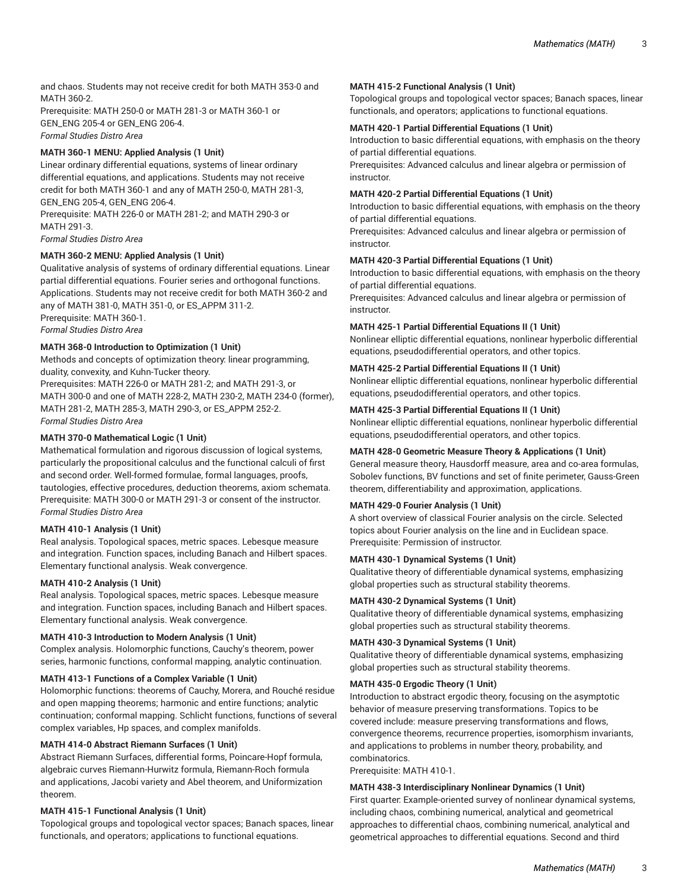and chaos. Students may not receive credit for both MATH 353-0 and MATH 360-2.

Prerequisite: MATH 250-0 or MATH 281-3 or MATH 360-1 or GEN\_ENG 205-4 or GEN\_ENG 206-4. *Formal Studies Distro Area*

# **MATH 360-1 MENU: Applied Analysis (1 Unit)**

Linear ordinary differential equations, systems of linear ordinary differential equations, and applications. Students may not receive credit for both MATH 360-1 and any of MATH 250-0, MATH 281-3, GEN\_ENG 205-4, GEN\_ENG 206-4.

Prerequisite: MATH 226-0 or MATH 281-2; and MATH 290-3 or MATH 291-3.

*Formal Studies Distro Area*

# **MATH 360-2 MENU: Applied Analysis (1 Unit)**

Qualitative analysis of systems of ordinary differential equations. Linear partial differential equations. Fourier series and orthogonal functions. Applications. Students may not receive credit for both MATH 360-2 and any of MATH 381-0, MATH 351-0, or ES\_APPM 311-2. Prerequisite: MATH 360-1.

*Formal Studies Distro Area*

# **MATH 368-0 Introduction to Optimization (1 Unit)**

Methods and concepts of optimization theory: linear programming, duality, convexity, and Kuhn-Tucker theory.

Prerequisites: MATH 226-0 or MATH 281-2; and MATH 291-3, or MATH 300-0 and one of MATH 228-2, MATH 230-2, MATH 234-0 (former), MATH 281-2, MATH 285-3, MATH 290-3, or ES\_APPM 252-2. *Formal Studies Distro Area*

## **MATH 370-0 Mathematical Logic (1 Unit)**

Mathematical formulation and rigorous discussion of logical systems, particularly the propositional calculus and the functional calculi of first and second order. Well-formed formulae, formal languages, proofs, tautologies, effective procedures, deduction theorems, axiom schemata. Prerequisite: MATH 300-0 or MATH 291-3 or consent of the instructor. *Formal Studies Distro Area*

## **MATH 410-1 Analysis (1 Unit)**

Real analysis. Topological spaces, metric spaces. Lebesque measure and integration. Function spaces, including Banach and Hilbert spaces. Elementary functional analysis. Weak convergence.

## **MATH 410-2 Analysis (1 Unit)**

Real analysis. Topological spaces, metric spaces. Lebesque measure and integration. Function spaces, including Banach and Hilbert spaces. Elementary functional analysis. Weak convergence.

## **MATH 410-3 Introduction to Modern Analysis (1 Unit)**

Complex analysis. Holomorphic functions, Cauchy's theorem, power series, harmonic functions, conformal mapping, analytic continuation.

## **MATH 413-1 Functions of a Complex Variable (1 Unit)**

Holomorphic functions: theorems of Cauchy, Morera, and Rouché residue and open mapping theorems; harmonic and entire functions; analytic continuation; conformal mapping. Schlicht functions, functions of several complex variables, Hp spaces, and complex manifolds.

## **MATH 414-0 Abstract Riemann Surfaces (1 Unit)**

Abstract Riemann Surfaces, differential forms, Poincare-Hopf formula, algebraic curves Riemann-Hurwitz formula, Riemann-Roch formula and applications, Jacobi variety and Abel theorem, and Uniformization theorem.

## **MATH 415-1 Functional Analysis (1 Unit)**

Topological groups and topological vector spaces; Banach spaces, linear functionals, and operators; applications to functional equations.

## **MATH 415-2 Functional Analysis (1 Unit)**

Topological groups and topological vector spaces; Banach spaces, linear functionals, and operators; applications to functional equations.

## **MATH 420-1 Partial Differential Equations (1 Unit)**

Introduction to basic differential equations, with emphasis on the theory of partial differential equations.

Prerequisites: Advanced calculus and linear algebra or permission of instructor.

## **MATH 420-2 Partial Differential Equations (1 Unit)**

Introduction to basic differential equations, with emphasis on the theory of partial differential equations.

Prerequisites: Advanced calculus and linear algebra or permission of instructor.

## **MATH 420-3 Partial Differential Equations (1 Unit)**

Introduction to basic differential equations, with emphasis on the theory of partial differential equations.

Prerequisites: Advanced calculus and linear algebra or permission of instructor.

## **MATH 425-1 Partial Differential Equations II (1 Unit)**

Nonlinear elliptic differential equations, nonlinear hyperbolic differential equations, pseudodifferential operators, and other topics.

## **MATH 425-2 Partial Differential Equations II (1 Unit)**

Nonlinear elliptic differential equations, nonlinear hyperbolic differential equations, pseudodifferential operators, and other topics.

## **MATH 425-3 Partial Differential Equations II (1 Unit)**

Nonlinear elliptic differential equations, nonlinear hyperbolic differential equations, pseudodifferential operators, and other topics.

# **MATH 428-0 Geometric Measure Theory & Applications (1 Unit)**

General measure theory, Hausdorff measure, area and co-area formulas, Sobolev functions, BV functions and set of finite perimeter, Gauss-Green theorem, differentiability and approximation, applications.

# **MATH 429-0 Fourier Analysis (1 Unit)**

A short overview of classical Fourier analysis on the circle. Selected topics about Fourier analysis on the line and in Euclidean space. Prerequisite: Permission of instructor.

## **MATH 430-1 Dynamical Systems (1 Unit)**

Qualitative theory of differentiable dynamical systems, emphasizing global properties such as structural stability theorems.

## **MATH 430-2 Dynamical Systems (1 Unit)**

Qualitative theory of differentiable dynamical systems, emphasizing global properties such as structural stability theorems.

## **MATH 430-3 Dynamical Systems (1 Unit)**

Qualitative theory of differentiable dynamical systems, emphasizing global properties such as structural stability theorems.

## **MATH 435-0 Ergodic Theory (1 Unit)**

Introduction to abstract ergodic theory, focusing on the asymptotic behavior of measure preserving transformations. Topics to be covered include: measure preserving transformations and flows, convergence theorems, recurrence properties, isomorphism invariants, and applications to problems in number theory, probability, and combinatorics.

Prerequisite: MATH 410-1.

## **MATH 438-3 Interdisciplinary Nonlinear Dynamics (1 Unit)**

First quarter: Example-oriented survey of nonlinear dynamical systems, including chaos, combining numerical, analytical and geometrical approaches to differential chaos, combining numerical, analytical and geometrical approaches to differential equations. Second and third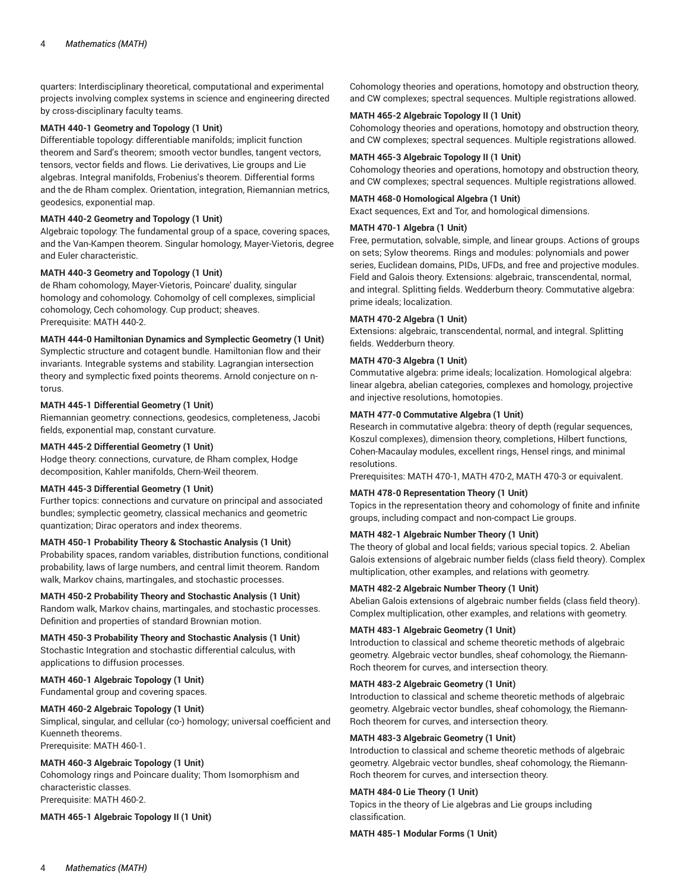quarters: Interdisciplinary theoretical, computational and experimental projects involving complex systems in science and engineering directed by cross-disciplinary faculty teams.

## **MATH 440-1 Geometry and Topology (1 Unit)**

Differentiable topology: differentiable manifolds; implicit function theorem and Sard's theorem; smooth vector bundles, tangent vectors, tensors, vector fields and flows. Lie derivatives, Lie groups and Lie algebras. Integral manifolds, Frobenius's theorem. Differential forms and the de Rham complex. Orientation, integration, Riemannian metrics, geodesics, exponential map.

## **MATH 440-2 Geometry and Topology (1 Unit)**

Algebraic topology: The fundamental group of a space, covering spaces, and the Van-Kampen theorem. Singular homology, Mayer-Vietoris, degree and Euler characteristic.

# **MATH 440-3 Geometry and Topology (1 Unit)**

de Rham cohomology, Mayer-Vietoris, Poincare' duality, singular homology and cohomology. Cohomolgy of cell complexes, simplicial cohomology, Cech cohomology. Cup product; sheaves. Prerequisite: MATH 440-2.

# **MATH 444-0 Hamiltonian Dynamics and Symplectic Geometry (1 Unit)**

Symplectic structure and cotagent bundle. Hamiltonian flow and their invariants. Integrable systems and stability. Lagrangian intersection theory and symplectic fixed points theorems. Arnold conjecture on ntorus.

#### **MATH 445-1 Differential Geometry (1 Unit)**

Riemannian geometry: connections, geodesics, completeness, Jacobi fields, exponential map, constant curvature.

## **MATH 445-2 Differential Geometry (1 Unit)**

Hodge theory: connections, curvature, de Rham complex, Hodge decomposition, Kahler manifolds, Chern-Weil theorem.

## **MATH 445-3 Differential Geometry (1 Unit)**

Further topics: connections and curvature on principal and associated bundles; symplectic geometry, classical mechanics and geometric quantization; Dirac operators and index theorems.

## **MATH 450-1 Probability Theory & Stochastic Analysis (1 Unit)**

Probability spaces, random variables, distribution functions, conditional probability, laws of large numbers, and central limit theorem. Random walk, Markov chains, martingales, and stochastic processes.

## **MATH 450-2 Probability Theory and Stochastic Analysis (1 Unit)**

Random walk, Markov chains, martingales, and stochastic processes. Definition and properties of standard Brownian motion.

**MATH 450-3 Probability Theory and Stochastic Analysis (1 Unit)** Stochastic Integration and stochastic differential calculus, with applications to diffusion processes.

## **MATH 460-1 Algebraic Topology (1 Unit)**

Fundamental group and covering spaces.

## **MATH 460-2 Algebraic Topology (1 Unit)**

Simplical, singular, and cellular (co-) homology; universal coefficient and Kuenneth theorems.

Prerequisite: MATH 460-1.

## **MATH 460-3 Algebraic Topology (1 Unit)**

Cohomology rings and Poincare duality; Thom Isomorphism and characteristic classes. Prerequisite: MATH 460-2.

**MATH 465-1 Algebraic Topology II (1 Unit)**

Cohomology theories and operations, homotopy and obstruction theory, and CW complexes; spectral sequences. Multiple registrations allowed.

# **MATH 465-2 Algebraic Topology II (1 Unit)**

Cohomology theories and operations, homotopy and obstruction theory, and CW complexes; spectral sequences. Multiple registrations allowed.

#### **MATH 465-3 Algebraic Topology II (1 Unit)**

Cohomology theories and operations, homotopy and obstruction theory, and CW complexes; spectral sequences. Multiple registrations allowed.

#### **MATH 468-0 Homological Algebra (1 Unit)**

Exact sequences, Ext and Tor, and homological dimensions.

#### **MATH 470-1 Algebra (1 Unit)**

Free, permutation, solvable, simple, and linear groups. Actions of groups on sets; Sylow theorems. Rings and modules: polynomials and power series, Euclidean domains, PIDs, UFDs, and free and projective modules. Field and Galois theory. Extensions: algebraic, transcendental, normal, and integral. Splitting fields. Wedderburn theory. Commutative algebra: prime ideals; localization.

#### **MATH 470-2 Algebra (1 Unit)**

Extensions: algebraic, transcendental, normal, and integral. Splitting fields. Wedderburn theory.

#### **MATH 470-3 Algebra (1 Unit)**

Commutative algebra: prime ideals; localization. Homological algebra: linear algebra, abelian categories, complexes and homology, projective and injective resolutions, homotopies.

#### **MATH 477-0 Commutative Algebra (1 Unit)**

Research in commutative algebra: theory of depth (regular sequences, Koszul complexes), dimension theory, completions, Hilbert functions, Cohen-Macaulay modules, excellent rings, Hensel rings, and minimal resolutions.

Prerequisites: MATH 470-1, MATH 470-2, MATH 470-3 or equivalent.

## **MATH 478-0 Representation Theory (1 Unit)**

Topics in the representation theory and cohomology of finite and infinite groups, including compact and non-compact Lie groups.

#### **MATH 482-1 Algebraic Number Theory (1 Unit)**

The theory of global and local fields; various special topics. 2. Abelian Galois extensions of algebraic number fields (class field theory). Complex multiplication, other examples, and relations with geometry.

#### **MATH 482-2 Algebraic Number Theory (1 Unit)**

Abelian Galois extensions of algebraic number fields (class field theory). Complex multiplication, other examples, and relations with geometry.

#### **MATH 483-1 Algebraic Geometry (1 Unit)**

Introduction to classical and scheme theoretic methods of algebraic geometry. Algebraic vector bundles, sheaf cohomology, the Riemann-Roch theorem for curves, and intersection theory.

#### **MATH 483-2 Algebraic Geometry (1 Unit)**

Introduction to classical and scheme theoretic methods of algebraic geometry. Algebraic vector bundles, sheaf cohomology, the Riemann-Roch theorem for curves, and intersection theory.

#### **MATH 483-3 Algebraic Geometry (1 Unit)**

Introduction to classical and scheme theoretic methods of algebraic geometry. Algebraic vector bundles, sheaf cohomology, the Riemann-Roch theorem for curves, and intersection theory.

## **MATH 484-0 Lie Theory (1 Unit)**

Topics in the theory of Lie algebras and Lie groups including classification.

**MATH 485-1 Modular Forms (1 Unit)**